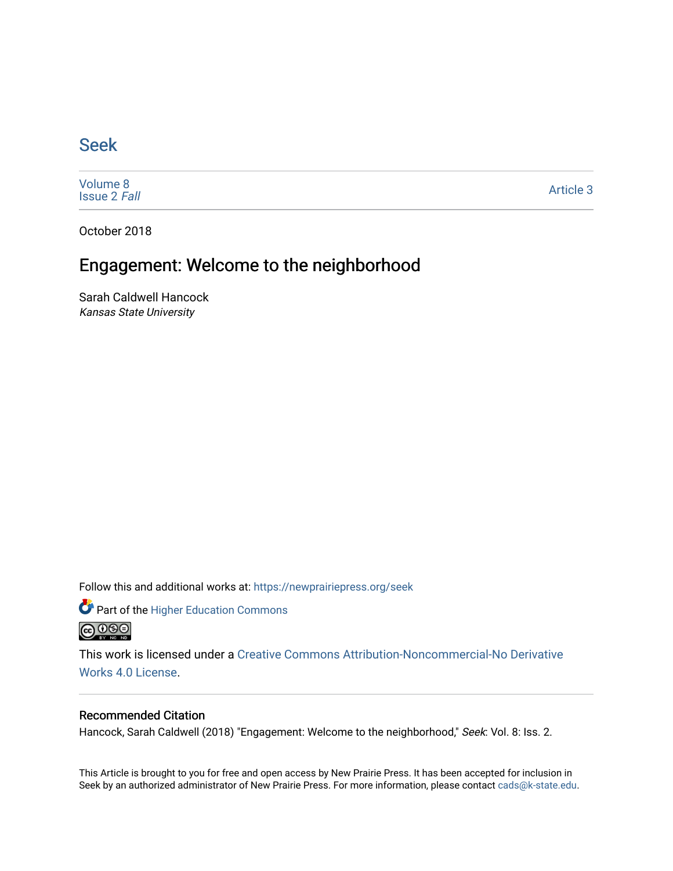## [Seek](https://newprairiepress.org/seek)

[Volume 8](https://newprairiepress.org/seek/vol8) [Issue 2](https://newprairiepress.org/seek/vol8/iss2) Fall

[Article 3](https://newprairiepress.org/seek/vol8/iss2/3) 

October 2018

# Engagement: Welcome to the neighborhood

Sarah Caldwell Hancock Kansas State University

Follow this and additional works at: [https://newprairiepress.org/seek](https://newprairiepress.org/seek?utm_source=newprairiepress.org%2Fseek%2Fvol8%2Fiss2%2F3&utm_medium=PDF&utm_campaign=PDFCoverPages)

Part of the [Higher Education Commons](http://network.bepress.com/hgg/discipline/1245?utm_source=newprairiepress.org%2Fseek%2Fvol8%2Fiss2%2F3&utm_medium=PDF&utm_campaign=PDFCoverPages) 



This work is licensed under a [Creative Commons Attribution-Noncommercial-No Derivative](https://creativecommons.org/licenses/by-nc-nd/4.0/)  [Works 4.0 License](https://creativecommons.org/licenses/by-nc-nd/4.0/).

### Recommended Citation

Hancock, Sarah Caldwell (2018) "Engagement: Welcome to the neighborhood," Seek: Vol. 8: Iss. 2.

This Article is brought to you for free and open access by New Prairie Press. It has been accepted for inclusion in Seek by an authorized administrator of New Prairie Press. For more information, please contact [cads@k-state.edu](mailto:cads@k-state.edu).